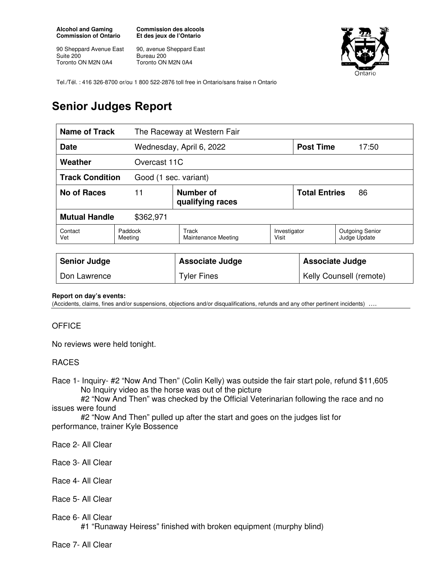**Alcohol and Gaming Commission of Ontario** 

90 Sheppard Avenue East Suite 200 Toronto ON M2N 0A4

**Commission des alcools Et des jeux de l'Ontario** 

90, avenue Sheppard East Bureau 200 Toronto ON M2N 0A4



Tel./Tél. : 416 326-8700 or/ou 1 800 522-2876 toll free in Ontario/sans fraise n Ontario

## **Senior Judges Report**

| <b>Name of Track</b>                            |                                            | The Raceway at Western Fair                |                       |                            |                                        |  |
|-------------------------------------------------|--------------------------------------------|--------------------------------------------|-----------------------|----------------------------|----------------------------------------|--|
| <b>Date</b>                                     |                                            | Wednesday, April 6, 2022                   |                       | <b>Post Time</b>           | 17:50                                  |  |
| Weather<br>Overcast 11C                         |                                            |                                            |                       |                            |                                        |  |
| <b>Track Condition</b><br>Good (1 sec. variant) |                                            |                                            |                       |                            |                                        |  |
| <b>No of Races</b>                              | 11<br><b>Number of</b><br>qualifying races |                                            |                       | <b>Total Entries</b><br>86 |                                        |  |
| <b>Mutual Handle</b><br>\$362,971               |                                            |                                            |                       |                            |                                        |  |
| Contact<br>Vet                                  | Paddock<br>Meeting                         | <b>Track</b><br><b>Maintenance Meeting</b> | Investigator<br>Visit |                            | <b>Outgoing Senior</b><br>Judge Update |  |
|                                                 |                                            |                                            |                       |                            |                                        |  |
| <b>Senior Judge</b>                             |                                            | <b>Associate Judge</b>                     |                       | <b>Associate Judge</b>     |                                        |  |
| Don Lawrence                                    |                                            | <b>Tyler Fines</b>                         |                       |                            | Kelly Counsell (remote)                |  |

## **Report on day's events:**

(Accidents, claims, fines and/or suspensions, objections and/or disqualifications, refunds and any other pertinent incidents) ….

## **OFFICE**

No reviews were held tonight.

## RACES

Race 1- Inquiry- #2 "Now And Then" (Colin Kelly) was outside the fair start pole, refund \$11,605 No Inquiry video as the horse was out of the picture

 #2 "Now And Then" was checked by the Official Veterinarian following the race and no issues were found

 #2 "Now And Then" pulled up after the start and goes on the judges list for performance, trainer Kyle Bossence

Race 2- All Clear

Race 3- All Clear

- Race 4- All Clear
- Race 5- All Clear
- Race 6- All Clear
	- #1 "Runaway Heiress" finished with broken equipment (murphy blind)

Race 7- All Clear